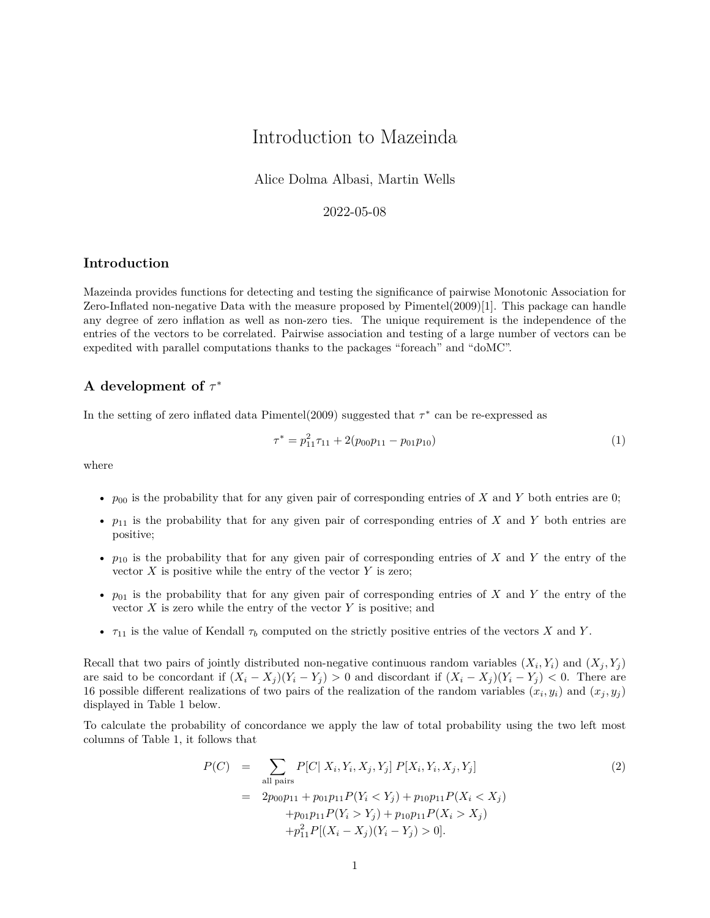# Introduction to Mazeinda

Alice Dolma Albasi, Martin Wells

### 2022-05-08

#### **Introduction**

Mazeinda provides functions for detecting and testing the significance of pairwise Monotonic Association for Zero-Inflated non-negative Data with the measure proposed by Pimentel(2009)[1]. This package can handle any degree of zero inflation as well as non-zero ties. The unique requirement is the independence of the entries of the vectors to be correlated. Pairwise association and testing of a large number of vectors can be expedited with parallel computations thanks to the packages "foreach" and "doMC".

### **A development of** *τ* ∗

In the setting of zero inflated data Pimentel(2009) suggested that *τ* ∗ can be re-expressed as

$$
\tau^* = p_{11}^2 \tau_{11} + 2(p_{00} p_{11} - p_{01} p_{10}) \tag{1}
$$

where

- $p_{00}$  is the probability that for any given pair of corresponding entries of *X* and *Y* both entries are 0;
- $p_{11}$  is the probability that for any given pair of corresponding entries of *X* and *Y* both entries are positive;
- *p*<sup>10</sup> is the probability that for any given pair of corresponding entries of *X* and *Y* the entry of the vector  $X$  is positive while the entry of the vector  $Y$  is zero;
- $p_{01}$  is the probability that for any given pair of corresponding entries of *X* and *Y* the entry of the vector *X* is zero while the entry of the vector *Y* is positive; and
- $\tau_{11}$  is the value of Kendall  $\tau_b$  computed on the strictly positive entries of the vectors *X* and *Y*.

Recall that two pairs of jointly distributed non-negative continuous random variables  $(X_i, Y_i)$  and  $(X_j, Y_j)$ are said to be concordant if  $(X_i - X_j)(Y_i - Y_j) > 0$  and discordant if  $(X_i - X_j)(Y_i - Y_j) < 0$ . There are 16 possible different realizations of two pairs of the realization of the random variables  $(x_i, y_i)$  and  $(x_j, y_j)$ displayed in Table [1](#page-1-0) below.

To calculate the probability of concordance we apply the law of total probability using the two left most columns of Table [1,](#page-1-0) it follows that

<span id="page-0-0"></span>
$$
P(C) = \sum_{\text{all pairs}} P[C| X_i, Y_i, X_j, Y_j] P[X_i, Y_i, X_j, Y_j]
$$
  
= 
$$
2p_{00}p_{11} + p_{01}p_{11}P(Y_i < Y_j) + p_{10}p_{11}P(X_i < X_j)
$$
  
+ 
$$
p_{01}p_{11}P(Y_i > Y_j) + p_{10}p_{11}P(X_i > X_j)
$$
  
+ 
$$
p_{11}^2P[(X_i - X_j)(Y_i - Y_j) > 0].
$$
 (2)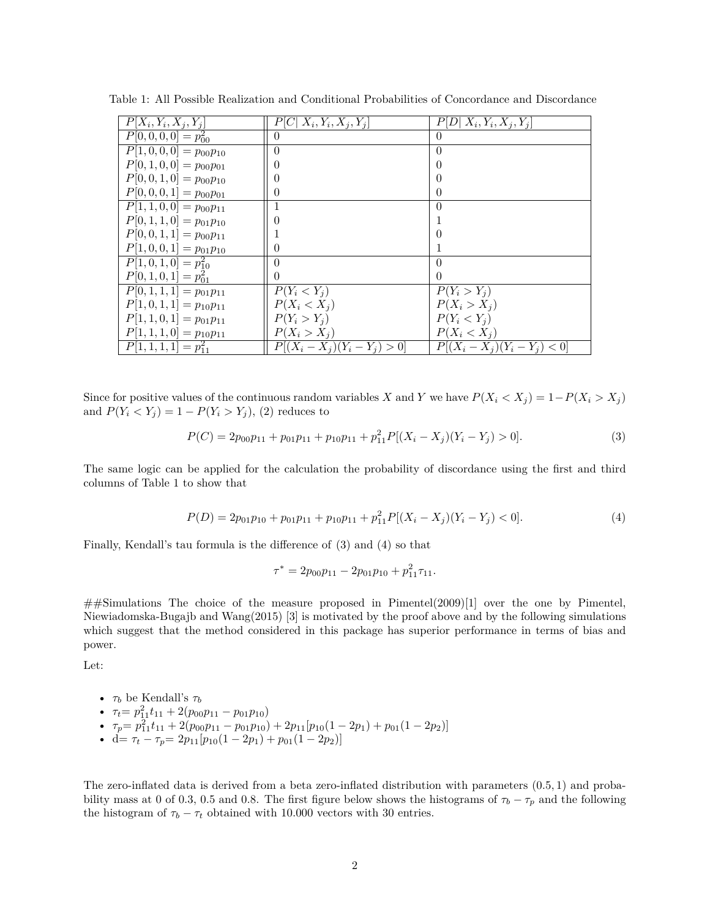<span id="page-1-0"></span>

| $P[X_i, Y_i, X_j, Y_j]$                | $P[C X_i,Y_i,X_j,Y_j]$          | $P[D X_i,Y_i,X_j,Y_j]$          |
|----------------------------------------|---------------------------------|---------------------------------|
| $\overline{P[0,0,0,0]} = p_{00}^2$     | 0                               | $\theta$                        |
| $\overline{P[1,0,0,0]} = p_{00}p_{10}$ | $\theta$                        | $\overline{0}$                  |
| $P[0,1,0,0]=p_{00}p_{01}$              | 0                               | $\theta$                        |
| $P[0,0,1,0]=p_{00}p_{10}$              | 0                               | $\left( \right)$                |
| $P[0,0,0,1] = p_{00}p_{01}$            | 0                               | $\theta$                        |
| $\overline{P[1,1,0,0]} = p_{00}p_{11}$ |                                 | $\Omega$                        |
| $P[0,1,1,0] = p_{01}p_{10}$            | 0                               |                                 |
| $P[0,0,1,1] = p_{00}p_{11}$            |                                 | $\left( \right)$                |
| $P[1,0,0,1] = p_{01}p_{10}$            | 0                               |                                 |
| $\overline{P[1,0,1,0]} = p_{10}^2$     | $\theta$                        | $\Omega$                        |
| $P[0,1,0,1] = p_{01}^2$                | 0                               | $\Omega$                        |
| $\overline{P[0,1,1,1]} = p_{01}p_{11}$ | $P(Y_i < Y_i)$                  | $P(Y_i > Y_j)$                  |
| $P[1,0,1,1] = p_{10}p_{11}$            | $P(X_i < X_j)$                  | $P(X_i > X_j)$                  |
| $P[1, 1, 0, 1] = p_{01}p_{11}$         | $P(Y_i > Y_i)$                  | $P(Y_i < Y_j)$                  |
| $P[1, 1, 1, 0] = p_{10}p_{11}$         | $P(X_i > X_j)$                  | $P(X_i < X_j)$                  |
| $P[1,1,1,1]=p_{11}^2$                  | $P[(X_i - X_j)(Y_i - Y_j) > 0]$ | $P[(X_i - X_j)(Y_i - Y_j) < 0]$ |

Table 1: All Possible Realization and Conditional Probabilities of Concordance and Discordance

Since for positive values of the continuous random variables *X* and *Y* we have  $P(X_i \le X_j) = 1 - P(X_i > X_j)$ and  $P(Y_i \leq Y_j) = 1 - P(Y_i > Y_j)$ , [\(2\)](#page-0-0) reduces to

<span id="page-1-1"></span>
$$
P(C) = 2p_{00}p_{11} + p_{01}p_{11} + p_{10}p_{11} + p_{11}^2 P[(X_i - X_j)(Y_i - Y_j) > 0].
$$
\n(3)

The same logic can be applied for the calculation the probability of discordance using the first and third columns of Table [1](#page-1-0) to show that

<span id="page-1-2"></span>
$$
P(D) = 2p_{01}p_{10} + p_{01}p_{11} + p_{10}p_{11} + p_{11}^2 P[(X_i - X_j)(Y_i - Y_j) < 0].\tag{4}
$$

Finally, Kendall's tau formula is the difference of [\(3\)](#page-1-1) and [\(4\)](#page-1-2) so that

$$
\tau^* = 2p_{00}p_{11} - 2p_{01}p_{10} + p_{11}^2 \tau_{11}.
$$

 $\#$ Simulations The choice of the measure proposed in Pimentel(2009)[1] over the one by Pimentel, Niewiadomska-Bugajb and Wang(2015) [3] is motivated by the proof above and by the following simulations which suggest that the method considered in this package has superior performance in terms of bias and power.

Let:

- 
$$
\tau_b
$$
 be Kendall's  $\tau_b$ 

• 
$$
\tau_t = p_{11}^2 t_{11} + 2(p_{00}p_{11} - p_{01}p_{10})
$$

- $\tau_p = p_{11}^2 t_{11} + 2(p_{00}p_{11} p_{01}p_{10}) + 2p_{11}[p_{10}(1 2p_1) + p_{01}(1 2p_2)]$
- d=  $\tau_t \tau_p = 2p_{11}[p_{10}(1 2p_1) + p_{01}(1 2p_2)]$

The zero-inflated data is derived from a beta zero-inflated distribution with parameters (0*.*5*,* 1) and probability mass at 0 of 0.3, 0.5 and 0.8. The first figure below shows the histograms of  $\tau_b - \tau_p$  and the following the histogram of  $\tau_b - \tau_t$  obtained with 10.000 vectors with 30 entries.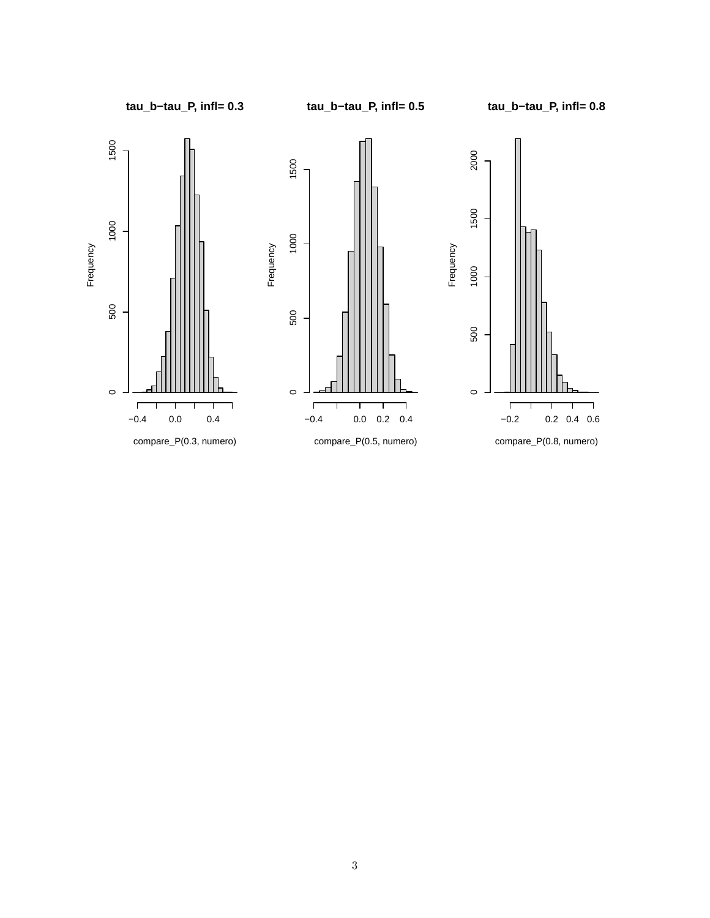**tau\_b−tau\_P, infl= 0.3**

**tau\_b−tau\_P, infl= 0.5**

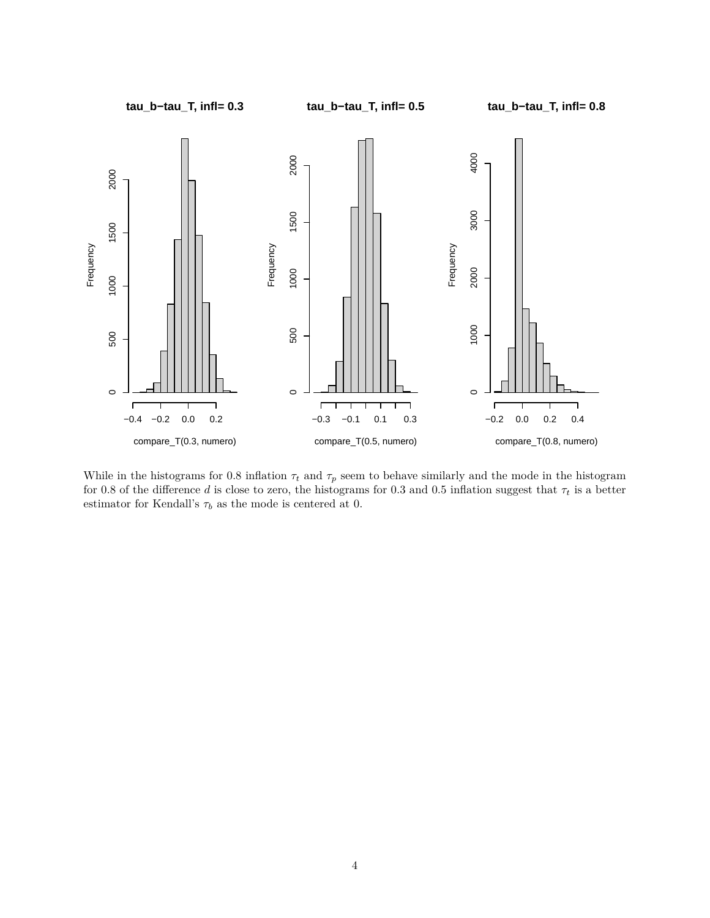

While in the histograms for 0.8 inflation  $\tau_t$  and  $\tau_p$  seem to behave similarly and the mode in the histogram for 0.8 of the difference *d* is close to zero, the histograms for 0.3 and 0.5 inflation suggest that  $\tau_t$  is a better estimator for Kendall's  $\tau_b$  as the mode is centered at 0.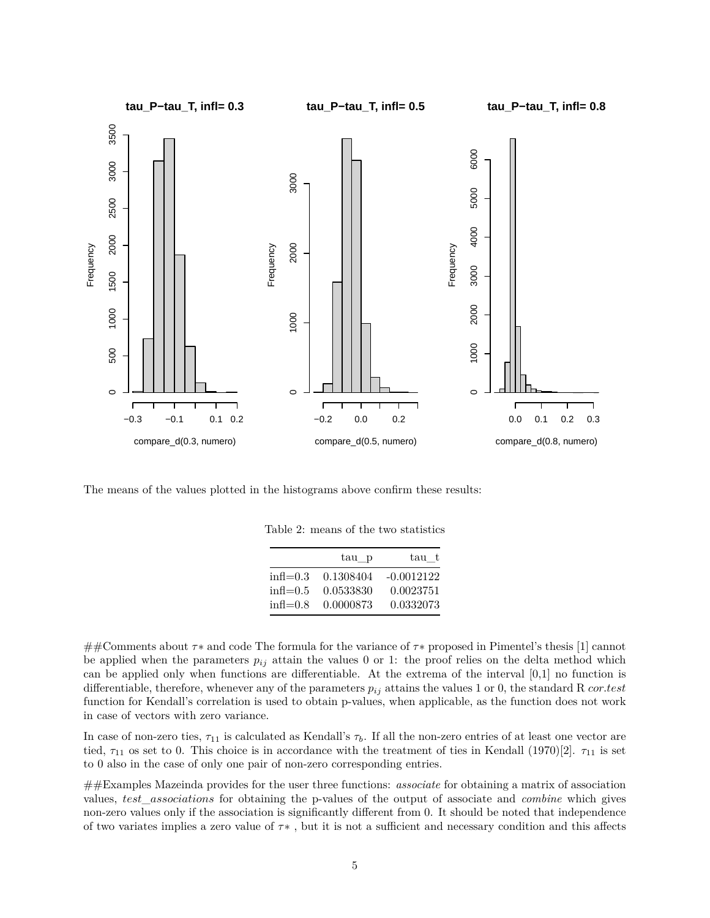

The means of the values plotted in the histograms above confirm these results:

|                        | tau p     | tau t        |
|------------------------|-----------|--------------|
| $\text{infl}=0.3$      | 0.1308404 | $-0.0012122$ |
| $\text{infl}=0.5$      | 0.0533830 | 0.0023751    |
| $in \mathcal{H} = 0.8$ | 0.0000873 | 0.0332073    |

##Comments about *τ*∗ and code The formula for the variance of *τ*∗ proposed in Pimentel's thesis [1] cannot be applied when the parameters  $p_{ij}$  attain the values 0 or 1: the proof relies on the delta method which can be applied only when functions are differentiable. At the extrema of the interval [0,1] no function is differentiable, therefore, whenever any of the parameters *pij* attains the values 1 or 0, the standard R *cor.test* function for Kendall's correlation is used to obtain p-values, when applicable, as the function does not work in case of vectors with zero variance.

In case of non-zero ties,  $\tau_{11}$  is calculated as Kendall's  $\tau_b$ . If all the non-zero entries of at least one vector are tied,  $\tau_{11}$  os set to 0. This choice is in accordance with the treatment of ties in Kendall (1970)[2].  $\tau_{11}$  is set to 0 also in the case of only one pair of non-zero corresponding entries.

##Examples Mazeinda provides for the user three functions: *associate* for obtaining a matrix of association values, *test*\_*associations* for obtaining the p-values of the output of associate and *combine* which gives non-zero values only if the association is significantly different from 0. It should be noted that independence of two variates implies a zero value of *τ*∗ , but it is not a sufficient and necessary condition and this affects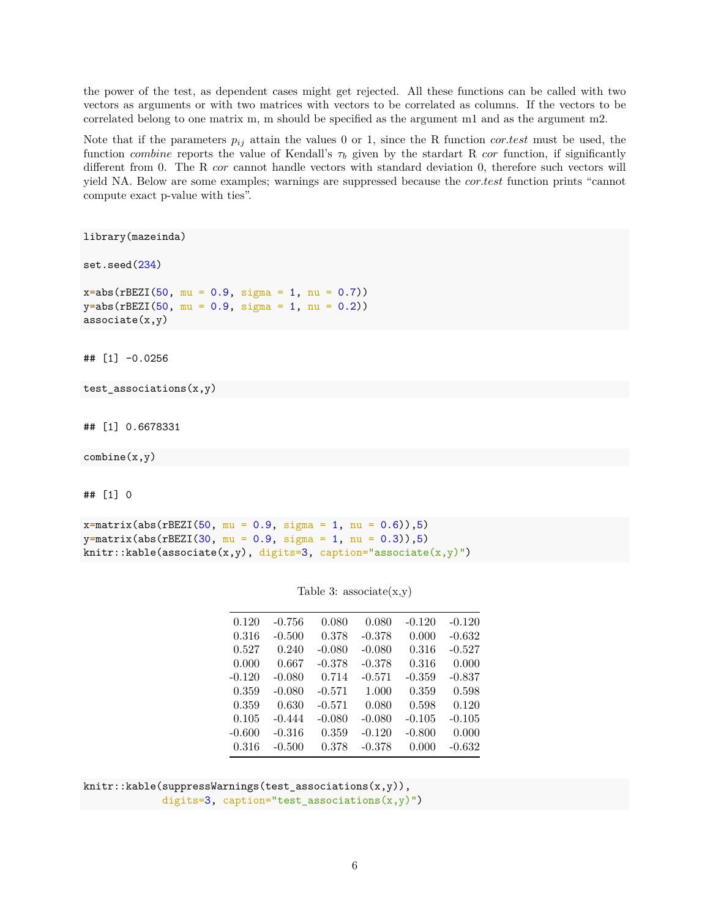the power of the test, as dependent cases might get rejected. All these functions can be called with two vectors as arguments or with two matrices with vectors to be correlated as columns. If the vectors to be correlated belong to one matrix m, m should be specified as the argument m1 and as the argument m2.

Note that if the parameters  $p_{ij}$  attain the values 0 or 1, since the R function *cor.test* must be used, the function *combine* reports the value of Kendall's  $\tau_b$  given by the stardart R *cor* function, if significantly different from 0. The R *cor* cannot handle vectors with standard deviation 0, therefore such vectors will yield NA. Below are some examples; warnings are suppressed because the *cor.test* function prints "cannot compute exact p-value with ties".

library(mazeinda)

set.seed(234)

 $x = abs(rBEZI(50, mu = 0.9, sigma = 1, nu = 0.7))$  $y = abs(rBEZI(50, mu = 0.9, sigma = 1, nu = 0.2))$  $associate(x,y)$ 

## [1] -0.0256

```
test_associations(x,y)
```
## [1] 0.6678331

 $combine(x,y)$ 

## [1] 0

 $x=$ matrix(abs(rBEZI(50, mu = 0.9, sigma = 1, nu = 0.6)),5)  $y=$ matrix(abs(rBEZI(30, mu = 0.9, sigma = 1, nu = 0.3)),5) knitr::kable(associate(x,y), digits=3, caption="associate(x,y)")

| 0.120  | $-0.756$ | 0.080    | 0.080    | $-0.120$ | $-0.120$ |
|--------|----------|----------|----------|----------|----------|
| 0.316  | $-0.500$ | 0.378    | $-0.378$ | 0.000    | $-0.632$ |
| 0.527  | 0.240    | $-0.080$ | $-0.080$ | 0.316    | $-0.527$ |
| 0.000  | 0.667    | $-0.378$ | $-0.378$ | 0.316    | 0.000    |
| -0.120 | $-0.080$ | 0.714    | $-0.571$ | $-0.359$ | $-0.837$ |
| 0.359  | $-0.080$ | $-0.571$ | 1.000    | 0.359    | 0.598    |
| 0.359  | 0.630    | $-0.571$ | 0.080    | 0.598    | 0.120    |
| 0.105  | $-0.444$ | $-0.080$ | $-0.080$ | $-0.105$ | $-0.105$ |
| -0.600 | $-0.316$ | 0.359    | $-0.120$ | $-0.800$ | 0.000    |
| 0.316  | $-0.500$ | 0.378    | $-0.378$ | 0.000    | $-0.632$ |

#### Table 3:  $associate(x,y)$

knitr::kable(suppressWarnings(test\_associations(x,y)), digits=3, caption="test\_associations $(x,y)$ ")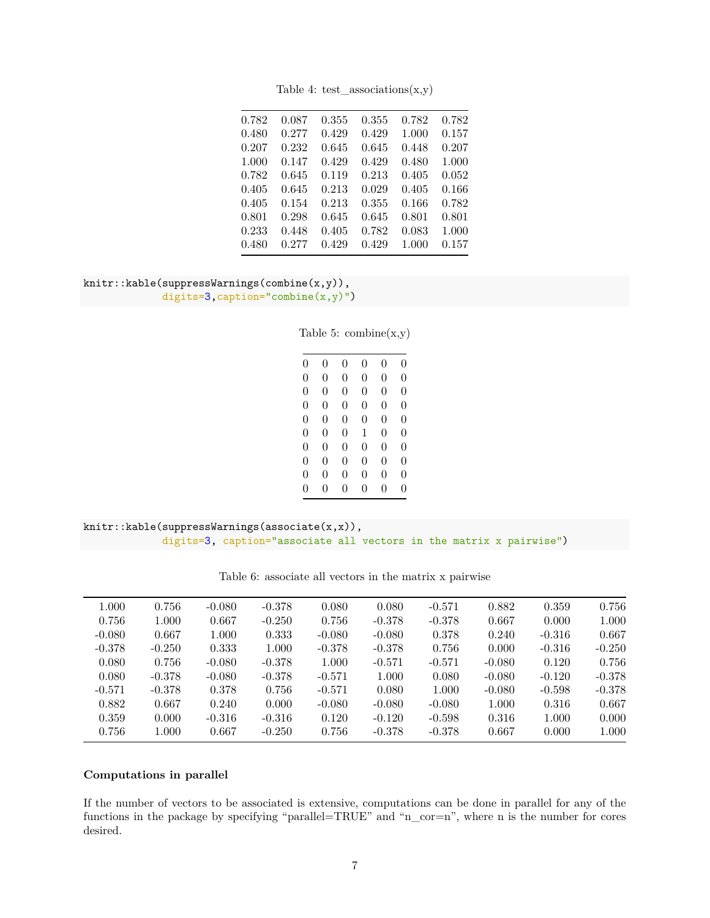| 0.782 | 0.087 | 0.355 | 0.355 | 0.782 | 0.782 |
|-------|-------|-------|-------|-------|-------|
| 0.480 | 0.277 | 0.429 | 0.429 | 1.000 | 0.157 |
| 0.207 | 0.232 | 0.645 | 0.645 | 0.448 | 0.207 |
| 1.000 | 0.147 | 0.429 | 0.429 | 0.480 | 1.000 |
| 0.782 | 0.645 | 0.119 | 0.213 | 0.405 | 0.052 |
| 0.405 | 0.645 | 0.213 | 0.029 | 0.405 | 0.166 |
| 0.405 | 0.154 | 0.213 | 0.355 | 0.166 | 0.782 |
| 0.801 | 0.298 | 0.645 | 0.645 | 0.801 | 0.801 |
| 0.233 | 0.448 | 0.405 | 0.782 | 0.083 | 1.000 |
| 0.480 | 0.277 | 0.429 | 0.429 | 1.000 | 0.157 |

Table 4: test\_associations $(x,y)$ 

```
knitr::kable(suppressWarnings(combine(x,y)),
 digits=3,caption="combine(x,y)")
```
Table 5:  $\text{combine}(x,y)$ 

| 0              | 0 | 0        | 0        | 0              | $\overline{0}$ |
|----------------|---|----------|----------|----------------|----------------|
| $\overline{0}$ | 0 | 0        | 0        | $\overline{0}$ | $\overline{0}$ |
| $\overline{0}$ | 0 | 0        | 0        | $\overline{0}$ | $\overline{0}$ |
| $\overline{0}$ | 0 | 0        | 0        | $\overline{0}$ | $\overline{0}$ |
| $\overline{0}$ | 0 | $\theta$ | 0        | $\overline{0}$ | $\overline{0}$ |
| $\overline{0}$ | 0 | $\theta$ | 1        | $\Omega$       | $\overline{0}$ |
| $\overline{0}$ | 0 | $\theta$ | 0        | $\overline{0}$ | $\overline{0}$ |
| $\overline{0}$ | 0 | $\theta$ | $\theta$ | $\Omega$       | $\Omega$       |
| $\overline{0}$ | 0 | $\theta$ | 0        | $\overline{0}$ | $\overline{0}$ |
| 0              | 0 | 0        | 0        | 0              | 0              |

```
knitr::kable(suppressWarnings(associate(x,x)),
 digits=3, caption="associate all vectors in the matrix x pairwise")
```

| 1.000    | 0.756     | $-0.080$ | $-0.378$ | 0.080    | 0.080    | $-0.571$ | 0.882    | 0.359    | 0.756    |
|----------|-----------|----------|----------|----------|----------|----------|----------|----------|----------|
| 0.756    | 1.000     | 0.667    | $-0.250$ | 0.756    | $-0.378$ | $-0.378$ | 0.667    | 0.000    | 1.000    |
| $-0.080$ | 0.667     | 1.000    | 0.333    | $-0.080$ | $-0.080$ | 0.378    | 0.240    | $-0.316$ | 0.667    |
| $-0.378$ | $-0.250$  | 0.333    | 1.000    | $-0.378$ | $-0.378$ | 0.756    | 0.000    | $-0.316$ | $-0.250$ |
| 0.080    | 0.756     | $-0.080$ | $-0.378$ | 1.000    | $-0.571$ | $-0.571$ | $-0.080$ | 0.120    | 0.756    |
| 0.080    | $-0.378$  | $-0.080$ | $-0.378$ | $-0.571$ | 1.000    | 0.080    | $-0.080$ | $-0.120$ | $-0.378$ |
| $-0.571$ | $-0.378$  | 0.378    | 0.756    | $-0.571$ | 0.080    | 1.000    | $-0.080$ | $-0.598$ | $-0.378$ |
| 0.882    | 0.667     | 0.240    | 0.000    | $-0.080$ | $-0.080$ | $-0.080$ | 1.000    | 0.316    | 0.667    |
| 0.359    | 0.000     | $-0.316$ | $-0.316$ | 0.120    | $-0.120$ | $-0.598$ | 0.316    | 1.000    | 0.000    |
| 0.756    | $1.000\,$ | 0.667    | $-0.250$ | 0.756    | $-0.378$ | $-0.378$ | 0.667    | 0.000    | 1.000    |
|          |           |          |          |          |          |          |          |          |          |

Table 6: associate all vectors in the matrix x pairwise

### **Computations in parallel**

If the number of vectors to be associated is extensive, computations can be done in parallel for any of the functions in the package by specifying "parallel=TRUE" and "n\_cor=n", where n is the number for cores desired.